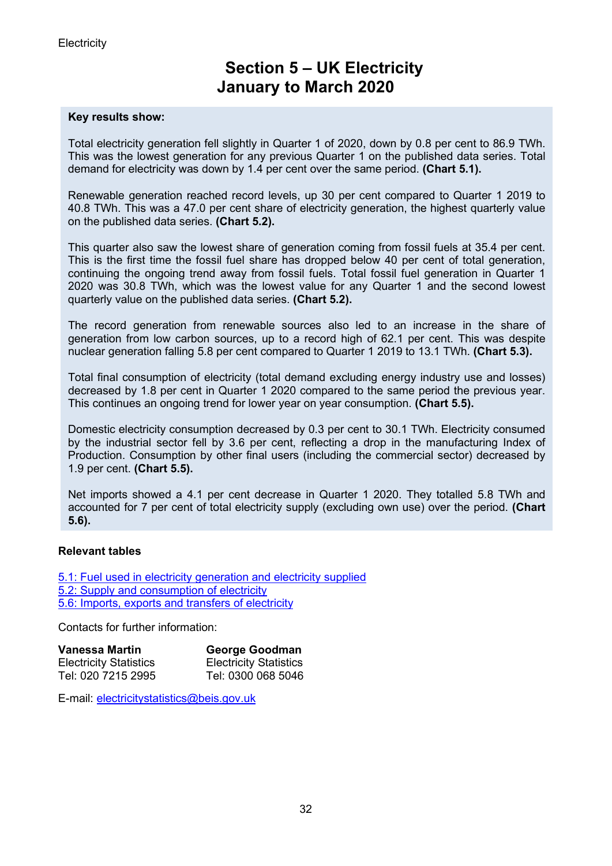# **Section 5 – UK Electricity January to March 2020**

#### **Key results show:**

Total electricity generation fell slightly in Quarter 1 of 2020, down by 0.8 per cent to 86.9 TWh. This was the lowest generation for any previous Quarter 1 on the published data series. Total demand for electricity was down by 1.4 per cent over the same period. **(Chart 5.1).**

Renewable generation reached record levels, up 30 per cent compared to Quarter 1 2019 to 40.8 TWh. This was a 47.0 per cent share of electricity generation, the highest quarterly value on the published data series. **(Chart 5.2).**

This quarter also saw the lowest share of generation coming from fossil fuels at 35.4 per cent. This is the first time the fossil fuel share has dropped below 40 per cent of total generation, continuing the ongoing trend away from fossil fuels. Total fossil fuel generation in Quarter 1 2020 was 30.8 TWh, which was the lowest value for any Quarter 1 and the second lowest quarterly value on the published data series. **(Chart 5.2).**

The record generation from renewable sources also led to an increase in the share of generation from low carbon sources, up to a record high of 62.1 per cent. This was despite nuclear generation falling 5.8 per cent compared to Quarter 1 2019 to 13.1 TWh. **(Chart 5.3).**

Total final consumption of electricity (total demand excluding energy industry use and losses) decreased by 1.8 per cent in Quarter 1 2020 compared to the same period the previous year. This continues an ongoing trend for lower year on year consumption. **(Chart 5.5).**

Domestic electricity consumption decreased by 0.3 per cent to 30.1 TWh. Electricity consumed by the industrial sector fell by 3.6 per cent, reflecting a drop in the manufacturing Index of Production. Consumption by other final users (including the commercial sector) decreased by 1.9 per cent. **(Chart 5.5).**

Net imports showed a 4.1 per cent decrease in Quarter 1 2020. They totalled 5.8 TWh and accounted for 7 per cent of total electricity supply (excluding own use) over the period. **(Chart 5.6).**

#### **Relevant tables**

[5.1: Fuel used in electricity generation and electricity supplied](https://www.gov.uk/government/statistics/electricity-section-5-energy-trends) [5.2: Supply and consumption of electricity](https://www.gov.uk/government/statistics/electricity-section-5-energy-trends) [5.6: Imports, exports and transfers of electricity](https://www.gov.uk/government/statistics/electricity-section-5-energy-trends)

Contacts for further information:

| <b>Vanessa Martin</b>         | George Goodman                |
|-------------------------------|-------------------------------|
| <b>Electricity Statistics</b> | <b>Electricity Statistics</b> |
| Tel: 020 7215 2995            | Tel: 0300 068 5046            |

E-mail: [electricitystatistics@beis.gov.uk](mailto:electricitystatistics@beis.gov.uk)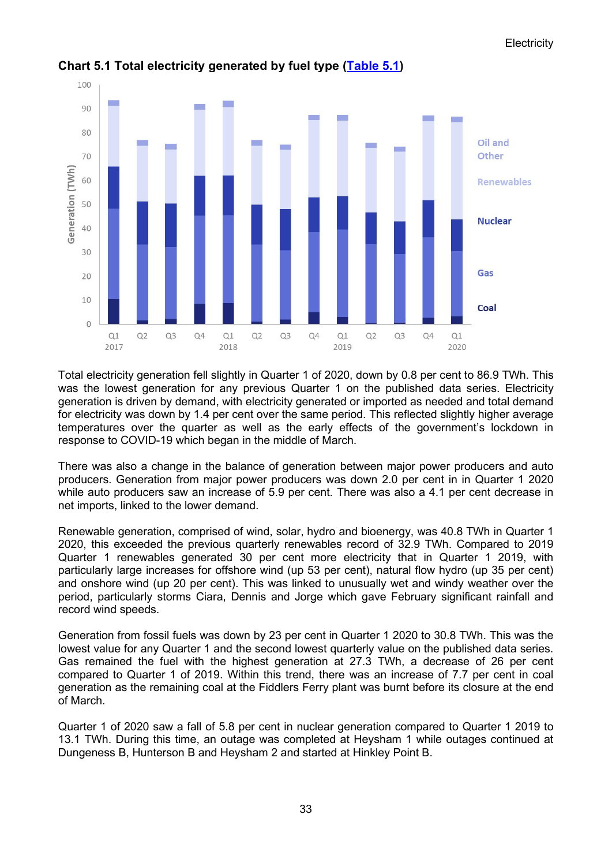

## **Chart 5.1 Total electricity generated by fuel type [\(Table 5.1\)](https://www.gov.uk/government/statistics/electricity-section-5-energy-trends)**

Total electricity generation fell slightly in Quarter 1 of 2020, down by 0.8 per cent to 86.9 TWh. This was the lowest generation for any previous Quarter 1 on the published data series. Electricity generation is driven by demand, with electricity generated or imported as needed and total demand for electricity was down by 1.4 per cent over the same period. This reflected slightly higher average temperatures over the quarter as well as the early effects of the government's lockdown in response to COVID-19 which began in the middle of March.

There was also a change in the balance of generation between major power producers and auto producers. Generation from major power producers was down 2.0 per cent in in Quarter 1 2020 while auto producers saw an increase of 5.9 per cent. There was also a 4.1 per cent decrease in net imports, linked to the lower demand.

Renewable generation, comprised of wind, solar, hydro and bioenergy, was 40.8 TWh in Quarter 1 2020, this exceeded the previous quarterly renewables record of 32.9 TWh. Compared to 2019 Quarter 1 renewables generated 30 per cent more electricity that in Quarter 1 2019, with particularly large increases for offshore wind (up 53 per cent), natural flow hydro (up 35 per cent) and onshore wind (up 20 per cent). This was linked to unusually wet and windy weather over the period, particularly storms Ciara, Dennis and Jorge which gave February significant rainfall and record wind speeds.

Generation from fossil fuels was down by 23 per cent in Quarter 1 2020 to 30.8 TWh. This was the lowest value for any Quarter 1 and the second lowest quarterly value on the published data series. Gas remained the fuel with the highest generation at 27.3 TWh, a decrease of 26 per cent compared to Quarter 1 of 2019. Within this trend, there was an increase of 7.7 per cent in coal generation as the remaining coal at the Fiddlers Ferry plant was burnt before its closure at the end of March.

Quarter 1 of 2020 saw a fall of 5.8 per cent in nuclear generation compared to Quarter 1 2019 to 13.1 TWh. During this time, an outage was completed at Heysham 1 while outages continued at Dungeness B, Hunterson B and Heysham 2 and started at Hinkley Point B.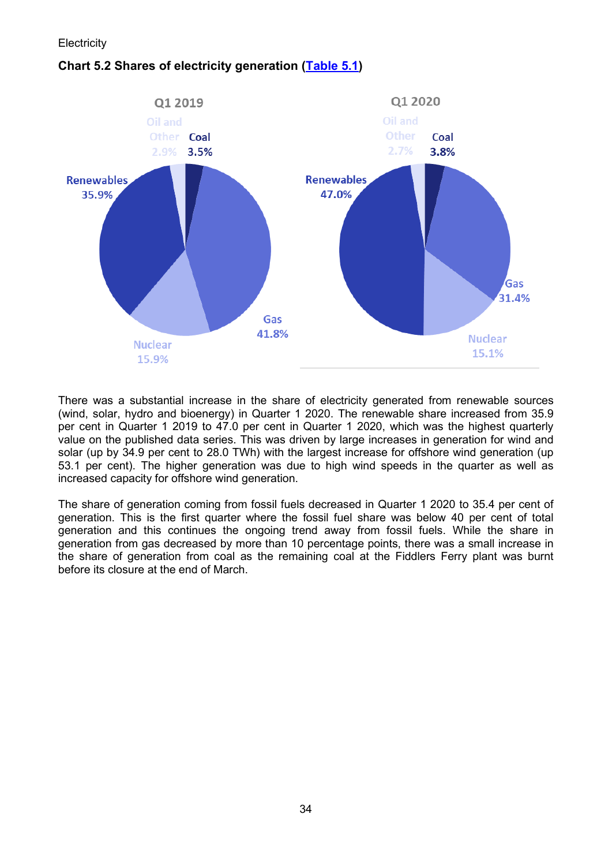## **Chart 5.2 Shares of electricity generation [\(Table 5.1\)](https://www.gov.uk/government/statistics/electricity-section-5-energy-trends)**



There was a substantial increase in the share of electricity generated from renewable sources (wind, solar, hydro and bioenergy) in Quarter 1 2020. The renewable share increased from 35.9 per cent in Quarter 1 2019 to 47.0 per cent in Quarter 1 2020, which was the highest quarterly value on the published data series. This was driven by large increases in generation for wind and solar (up by 34.9 per cent to 28.0 TWh) with the largest increase for offshore wind generation (up 53.1 per cent). The higher generation was due to high wind speeds in the quarter as well as increased capacity for offshore wind generation.

The share of generation coming from fossil fuels decreased in Quarter 1 2020 to 35.4 per cent of generation. This is the first quarter where the fossil fuel share was below 40 per cent of total generation and this continues the ongoing trend away from fossil fuels. While the share in generation from gas decreased by more than 10 percentage points, there was a small increase in the share of generation from coal as the remaining coal at the Fiddlers Ferry plant was burnt before its closure at the end of March.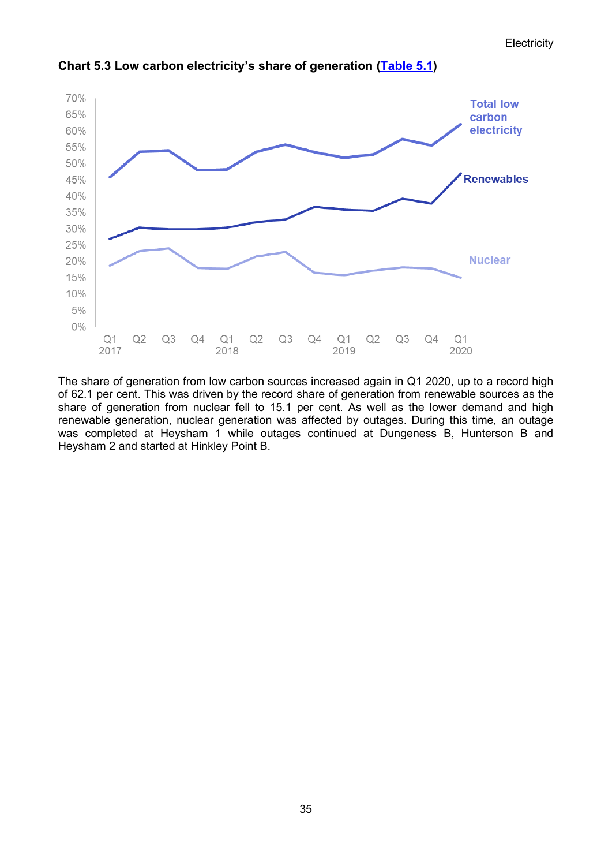

**Chart 5.3 Low carbon electricity's share of generation [\(Table 5.1\)](https://www.gov.uk/government/statistics/electricity-section-5-energy-trends)**

The share of generation from low carbon sources increased again in Q1 2020, up to a record high of 62.1 per cent. This was driven by the record share of generation from renewable sources as the share of generation from nuclear fell to 15.1 per cent. As well as the lower demand and high renewable generation, nuclear generation was affected by outages. During this time, an outage was completed at Heysham 1 while outages continued at Dungeness B, Hunterson B and Heysham 2 and started at Hinkley Point B.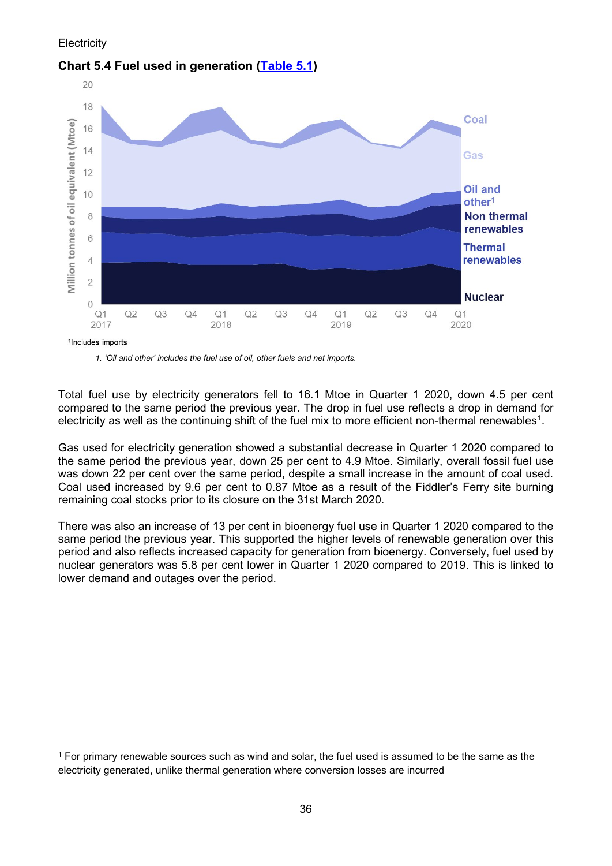

### **Chart 5.4 Fuel used in generation [\(Table 5.1\)](https://www.gov.uk/government/statistics/electricity-section-5-energy-trends)**

*1. 'Oil and other' includes the fuel use of oil, other fuels and net imports.*

Total fuel use by electricity generators fell to 16.1 Mtoe in Quarter 1 2020, down 4.5 per cent compared to the same period the previous year. The drop in fuel use reflects a drop in demand for electricity as well as the continuing shift of the fuel mix to more efficient non-thermal renewables<sup>[1](#page-4-0)</sup>.

Gas used for electricity generation showed a substantial decrease in Quarter 1 2020 compared to the same period the previous year, down 25 per cent to 4.9 Mtoe. Similarly, overall fossil fuel use was down 22 per cent over the same period, despite a small increase in the amount of coal used. Coal used increased by 9.6 per cent to 0.87 Mtoe as a result of the Fiddler's Ferry site burning remaining coal stocks prior to its closure on the 31st March 2020.

There was also an increase of 13 per cent in bioenergy fuel use in Quarter 1 2020 compared to the same period the previous year. This supported the higher levels of renewable generation over this period and also reflects increased capacity for generation from bioenergy. Conversely, fuel used by nuclear generators was 5.8 per cent lower in Quarter 1 2020 compared to 2019. This is linked to lower demand and outages over the period.

<span id="page-4-0"></span><sup>1</sup> For primary renewable sources such as wind and solar, the fuel used is assumed to be the same as the electricity generated, unlike thermal generation where conversion losses are incurred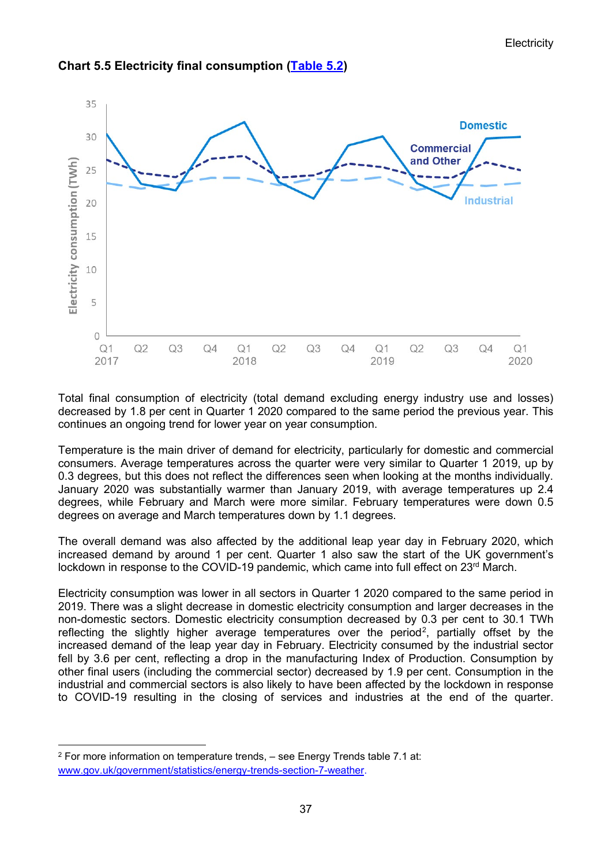

## **Chart 5.5 Electricity final consumption [\(Table](https://www.gov.uk/government/statistics/electricity-section-5-energy-trends) 5.2)**

Total final consumption of electricity (total demand excluding energy industry use and losses) decreased by 1.8 per cent in Quarter 1 2020 compared to the same period the previous year. This continues an ongoing trend for lower year on year consumption.

Temperature is the main driver of demand for electricity, particularly for domestic and commercial consumers. Average temperatures across the quarter were very similar to Quarter 1 2019, up by 0.3 degrees, but this does not reflect the differences seen when looking at the months individually. January 2020 was substantially warmer than January 2019, with average temperatures up 2.4 degrees, while February and March were more similar. February temperatures were down 0.5 degrees on average and March temperatures down by 1.1 degrees.

The overall demand was also affected by the additional leap year day in February 2020, which increased demand by around 1 per cent. Quarter 1 also saw the start of the UK government's lockdown in response to the COVID-19 pandemic, which came into full effect on 23<sup>rd</sup> March.

Electricity consumption was lower in all sectors in Quarter 1 2020 compared to the same period in 2019. There was a slight decrease in domestic electricity consumption and larger decreases in the non-domestic sectors. Domestic electricity consumption decreased by 0.3 per cent to 30.1 TWh reflecting the slightly higher average temperatures over the period<sup>[2](#page-5-0)</sup>, partially offset by the increased demand of the leap year day in February. Electricity consumed by the industrial sector fell by 3.6 per cent, reflecting a drop in the manufacturing Index of Production. Consumption by other final users (including the commercial sector) decreased by 1.9 per cent. Consumption in the industrial and commercial sectors is also likely to have been affected by the lockdown in response to COVID-19 resulting in the closing of services and industries at the end of the quarter.

<span id="page-5-0"></span><sup>2</sup> For more information on temperature trends, – see Energy Trends table 7.1 at: [www.gov.uk/government/statistics/energy-trends-section-7-weather.](www.gov.uk/government/statistics/energy-trends-section-7-weather)